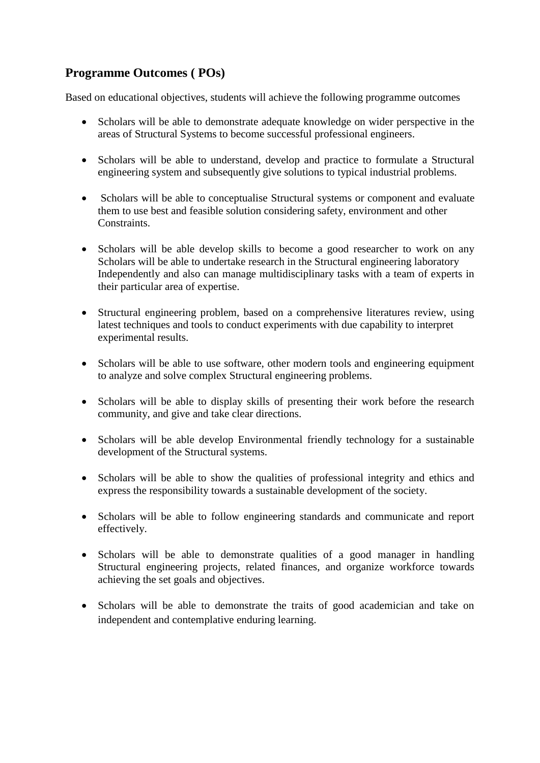## **Programme Outcomes ( POs)**

Based on educational objectives, students will achieve the following programme outcomes

- Scholars will be able to demonstrate adequate knowledge on wider perspective in the areas of Structural Systems to become successful professional engineers.
- Scholars will be able to understand, develop and practice to formulate a Structural engineering system and subsequently give solutions to typical industrial problems.
- Scholars will be able to conceptualise Structural systems or component and evaluate them to use best and feasible solution considering safety, environment and other Constraints.
- Scholars will be able develop skills to become a good researcher to work on any Scholars will be able to undertake research in the Structural engineering laboratory Independently and also can manage multidisciplinary tasks with a team of experts in their particular area of expertise.
- Structural engineering problem, based on a comprehensive literatures review, using latest techniques and tools to conduct experiments with due capability to interpret experimental results.
- Scholars will be able to use software, other modern tools and engineering equipment to analyze and solve complex Structural engineering problems.
- Scholars will be able to display skills of presenting their work before the research community, and give and take clear directions.
- Scholars will be able develop Environmental friendly technology for a sustainable development of the Structural systems.
- Scholars will be able to show the qualities of professional integrity and ethics and express the responsibility towards a sustainable development of the society.
- Scholars will be able to follow engineering standards and communicate and report effectively.
- Scholars will be able to demonstrate qualities of a good manager in handling Structural engineering projects, related finances, and organize workforce towards achieving the set goals and objectives.
- Scholars will be able to demonstrate the traits of good academician and take on independent and contemplative enduring learning.